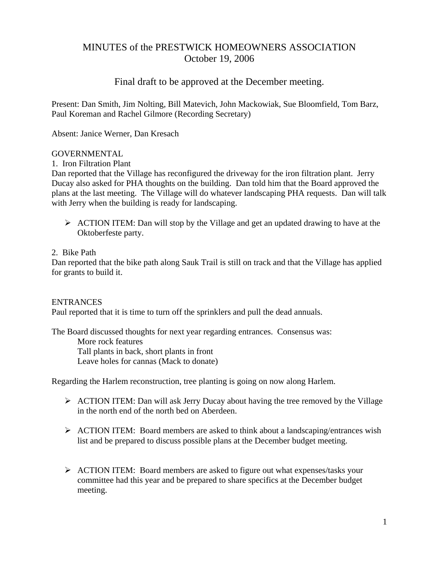# MINUTES of the PRESTWICK HOMEOWNERS ASSOCIATION October 19, 2006

# Final draft to be approved at the December meeting.

Present: Dan Smith, Jim Nolting, Bill Matevich, John Mackowiak, Sue Bloomfield, Tom Barz, Paul Koreman and Rachel Gilmore (Recording Secretary)

Absent: Janice Werner, Dan Kresach

### GOVERNMENTAL

1. Iron Filtration Plant

Dan reported that the Village has reconfigured the driveway for the iron filtration plant. Jerry Ducay also asked for PHA thoughts on the building. Dan told him that the Board approved the plans at the last meeting. The Village will do whatever landscaping PHA requests. Dan will talk with Jerry when the building is ready for landscaping.

 $\triangleright$  ACTION ITEM: Dan will stop by the Village and get an updated drawing to have at the Oktoberfeste party.

### 2. Bike Path

Dan reported that the bike path along Sauk Trail is still on track and that the Village has applied for grants to build it.

#### **ENTRANCES**

Paul reported that it is time to turn off the sprinklers and pull the dead annuals.

The Board discussed thoughts for next year regarding entrances. Consensus was: More rock features Tall plants in back, short plants in front Leave holes for cannas (Mack to donate)

Regarding the Harlem reconstruction, tree planting is going on now along Harlem.

- $\triangleright$  ACTION ITEM: Dan will ask Jerry Ducay about having the tree removed by the Village in the north end of the north bed on Aberdeen.
- ¾ ACTION ITEM: Board members are asked to think about a landscaping/entrances wish list and be prepared to discuss possible plans at the December budget meeting.
- $\triangleright$  ACTION ITEM: Board members are asked to figure out what expenses/tasks your committee had this year and be prepared to share specifics at the December budget meeting.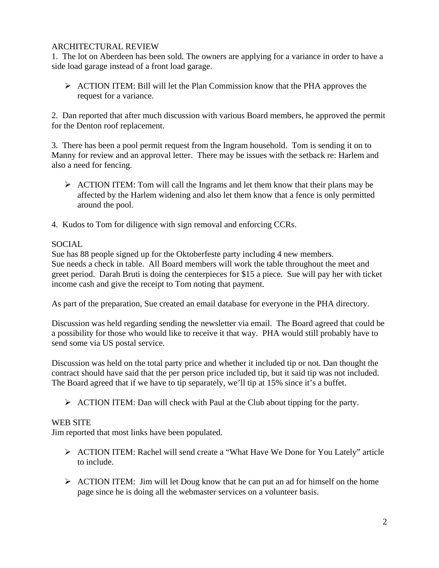### ARCHITECTURAL REVIEW

1. The lot on Aberdeen has been sold. The owners are applying for a variance in order to have a side load garage instead of a front load garage.

 $\triangleright$  ACTION ITEM: Bill will let the Plan Commission know that the PHA approves the request for a variance.

2. Dan reported that after much discussion with various Board members, he approved the permit for the Denton roof replacement.

3. There has been a pool permit request from the Ingram household. Tom is sending it on to Manny for review and an approval letter. There may be issues with the setback re: Harlem and also a need for fencing.

- $\triangleright$  ACTION ITEM: Tom will call the Ingrams and let them know that their plans may be affected by the Harlem widening and also let them know that a fence is only permitted around the pool.
- 4. Kudos to Tom for diligence with sign removal and enforcing CCRs.

### SOCIAL

Sue has 88 people signed up for the Oktoberfeste party including 4 new members. Sue needs a check in table. All Board members will work the table throughout the meet and greet period. Darah Bruti is doing the centerpieces for \$15 a piece. Sue will pay her with ticket income cash and give the receipt to Tom noting that payment.

As part of the preparation, Sue created an email database for everyone in the PHA directory.

Discussion was held regarding sending the newsletter via email. The Board agreed that could be a possibility for those who would like to receive it that way. PHA would still probably have to send some via US postal service.

Discussion was held on the total party price and whether it included tip or not. Dan thought the contract should have said that the per person price included tip, but it said tip was not included. The Board agreed that if we have to tip separately, we'll tip at 15% since it's a buffet.

 $\triangleright$  ACTION ITEM: Dan will check with Paul at the Club about tipping for the party.

# WEB SITE

Jim reported that most links have been populated.

- ¾ ACTION ITEM: Rachel will send create a "What Have We Done for You Lately" article to include.
- $\triangleright$  ACTION ITEM: Jim will let Doug know that he can put an ad for himself on the home page since he is doing all the webmaster services on a volunteer basis.